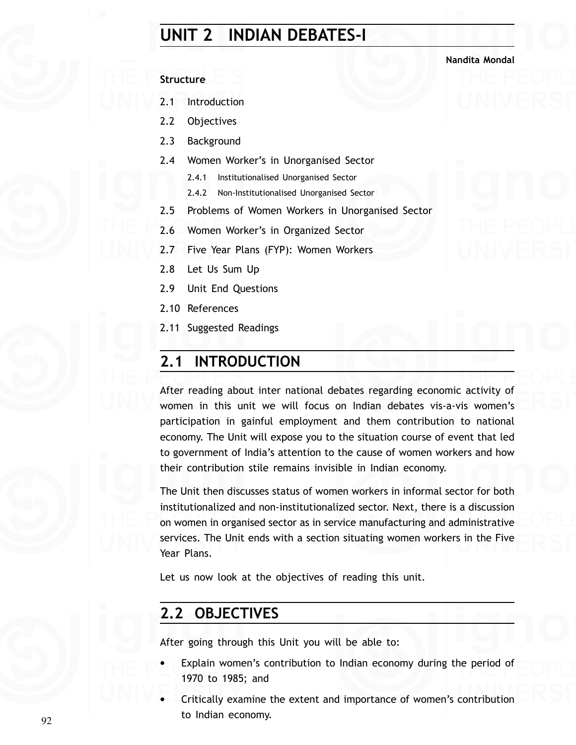# **UNIT 2 INDIAN DEBATES-I**

### **Nandita Mondal**

### **Structure**

- 2.1 Introduction
- 2.2 Objectives
- 2.3 Background
- 2.4 Women Worker's in Unorganised Sector
	- 2.4.1 Institutionalised Unorganised Sector
	- 2.4.2 Non-Institutionalised Unorganised Sector
- 2.5 Problems of Women Workers in Unorganised Sector
- 2.6 Women Worker's in Organized Sector
- 2.7 Five Year Plans (FYP): Women Workers
- 2.8 Let Us Sum Up
- 2.9 Unit End Questions
- 2.10 References
- 2.11 Suggested Readings

## **2.1 INTRODUCTION**

After reading about inter national debates regarding economic activity of women in this unit we will focus on Indian debates vis-a-vis women's participation in gainful employment and them contribution to national economy. The Unit will expose you to the situation course of event that led to government of India's attention to the cause of women workers and how their contribution stile remains invisible in Indian economy.

The Unit then discusses status of women workers in informal sector for both institutionalized and non-institutionalized sector. Next, there is a discussion on women in organised sector as in service manufacturing and administrative services. The Unit ends with a section situating women workers in the Five Year Plans.

Let us now look at the objectives of reading this unit.

# **2.2 OBJECTIVES**

After going through this Unit you will be able to:

- Explain women's contribution to Indian economy during the period of 1970 to 1985; and
- Critically examine the extent and importance of women's contribution to Indian economy.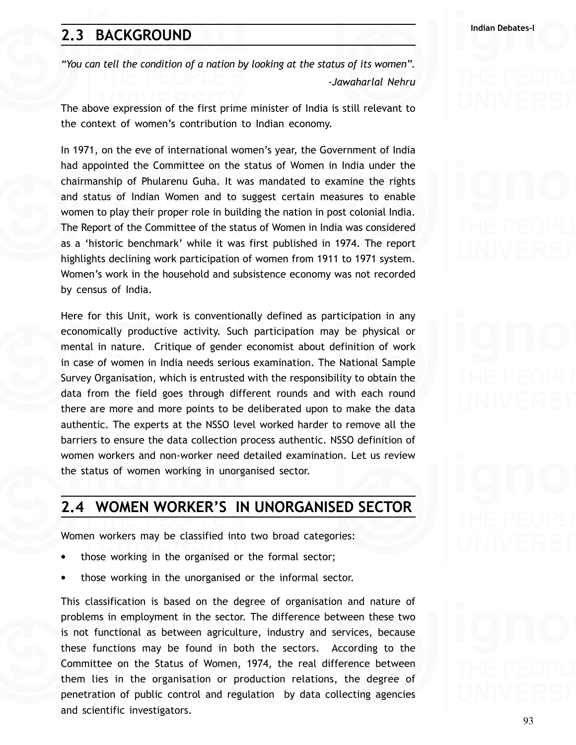# **Indian Debates-I 2.3 BACKGROUND**

*"You can tell the condition of a nation by looking at the status of its women". -Jawaharlal Nehru*

The above expression of the first prime minister of India is still relevant to the context of women's contribution to Indian economy.

In 1971, on the eve of international women's year, the Government of India had appointed the Committee on the status of Women in India under the chairmanship of Phularenu Guha. It was mandated to examine the rights and status of Indian Women and to suggest certain measures to enable women to play their proper role in building the nation in post colonial India. The Report of the Committee of the status of Women in India was considered as a 'historic benchmark' while it was first published in 1974. The report highlights declining work participation of women from 1911 to 1971 system. Women's work in the household and subsistence economy was not recorded by census of India.

Here for this Unit, work is conventionally defined as participation in any economically productive activity. Such participation may be physical or mental in nature. Critique of gender economist about definition of work in case of women in India needs serious examination. The National Sample Survey Organisation, which is entrusted with the responsibility to obtain the data from the field goes through different rounds and with each round there are more and more points to be deliberated upon to make the data authentic. The experts at the NSSO level worked harder to remove all the barriers to ensure the data collection process authentic. NSSO definition of women workers and non-worker need detailed examination. Let us review the status of women working in unorganised sector.

## **2.4 WOMEN WORKER'S IN UNORGANISED SECTOR**

Women workers may be classified into two broad categories:

- those working in the organised or the formal sector;
- those working in the unorganised or the informal sector.

This classification is based on the degree of organisation and nature of problems in employment in the sector. The difference between these two is not functional as between agriculture, industry and services, because these functions may be found in both the sectors. According to the Committee on the Status of Women, 1974, the real difference between them lies in the organisation or production relations, the degree of penetration of public control and regulation by data collecting agencies and scientific investigators.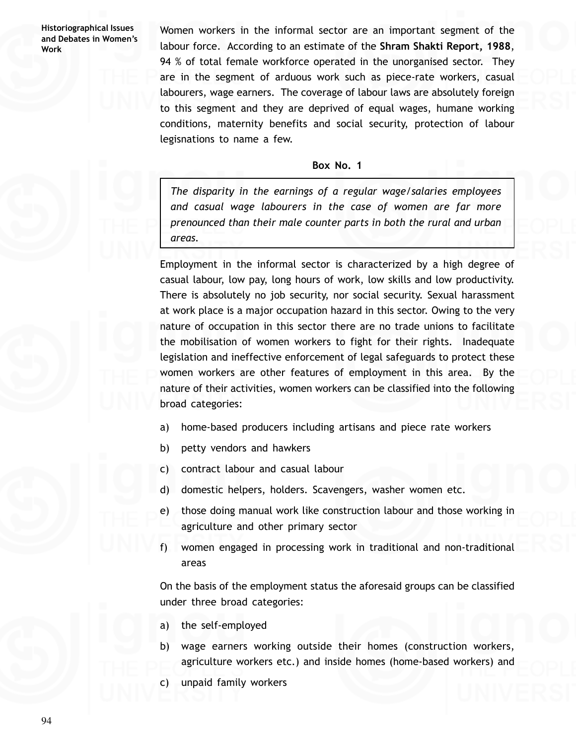Women workers in the informal sector are an important segment of the labour force. According to an estimate of the **Shram Shakti Report, 1988**, 94 % of total female workforce operated in the unorganised sector. They are in the segment of arduous work such as piece-rate workers, casual labourers, wage earners. The coverage of labour laws are absolutely foreign to this segment and they are deprived of equal wages, humane working conditions, maternity benefits and social security, protection of labour legisnations to name a few.

### **Box No. 1**

*The disparity in the earnings of a regular wage/salaries employees and casual wage labourers in the case of women are far more prenounced than their male counter parts in both the rural and urban areas.*

Employment in the informal sector is characterized by a high degree of casual labour, low pay, long hours of work, low skills and low productivity. There is absolutely no job security, nor social security. Sexual harassment at work place is a major occupation hazard in this sector. Owing to the very nature of occupation in this sector there are no trade unions to facilitate the mobilisation of women workers to fight for their rights. Inadequate legislation and ineffective enforcement of legal safeguards to protect these women workers are other features of employment in this area. By the nature of their activities, women workers can be classified into the following broad categories:

- a) home-based producers including artisans and piece rate workers
- b) petty vendors and hawkers
- c) contract labour and casual labour
- d) domestic helpers, holders. Scavengers, washer women etc.
- e) those doing manual work like construction labour and those working in agriculture and other primary sector
- f) women engaged in processing work in traditional and non-traditional areas

On the basis of the employment status the aforesaid groups can be classified under three broad categories:

- a) the self-employed
- b) wage earners working outside their homes (construction workers, agriculture workers etc.) and inside homes (home-based workers) and
- c) unpaid family workers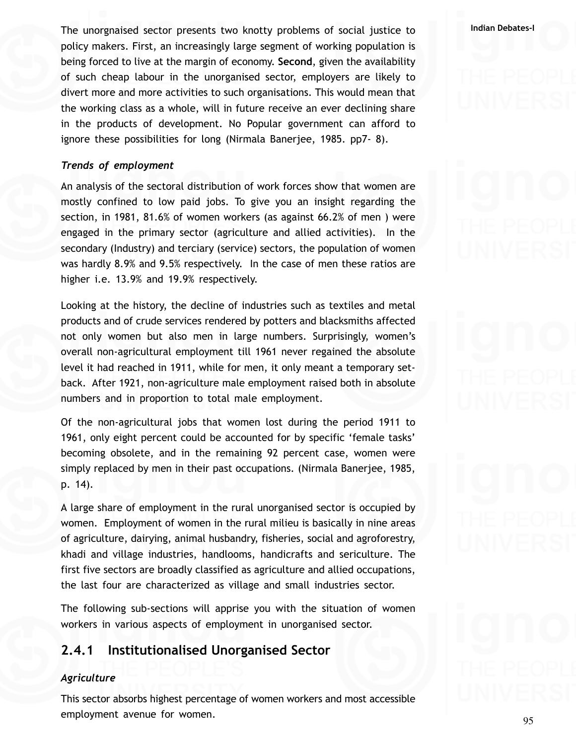**Indian Debates-I** The unorgnaised sector presents two knotty problems of social justice to policy makers. First, an increasingly large segment of working population is being forced to live at the margin of economy. **Second**, given the availability of such cheap labour in the unorganised sector, employers are likely to divert more and more activities to such organisations. This would mean that the working class as a whole, will in future receive an ever declining share in the products of development. No Popular government can afford to ignore these possibilities for long (Nirmala Banerjee, 1985. pp7- 8).

### *Trends of employment*

An analysis of the sectoral distribution of work forces show that women are mostly confined to low paid jobs. To give you an insight regarding the section, in 1981, 81.6% of women workers (as against 66.2% of men ) were engaged in the primary sector (agriculture and allied activities). In the secondary (Industry) and terciary (service) sectors, the population of women was hardly 8.9% and 9.5% respectively. In the case of men these ratios are higher i.e. 13.9% and 19.9% respectively.

Looking at the history, the decline of industries such as textiles and metal products and of crude services rendered by potters and blacksmiths affected not only women but also men in large numbers. Surprisingly, women's overall non-agricultural employment till 1961 never regained the absolute level it had reached in 1911, while for men, it only meant a temporary setback. After 1921, non-agriculture male employment raised both in absolute numbers and in proportion to total male employment.

Of the non-agricultural jobs that women lost during the period 1911 to 1961, only eight percent could be accounted for by specific 'female tasks' becoming obsolete, and in the remaining 92 percent case, women were simply replaced by men in their past occupations. (Nirmala Banerjee, 1985, p. 14).

A large share of employment in the rural unorganised sector is occupied by women. Employment of women in the rural milieu is basically in nine areas of agriculture, dairying, animal husbandry, fisheries, social and agroforestry, khadi and village industries, handlooms, handicrafts and sericulture. The first five sectors are broadly classified as agriculture and allied occupations, the last four are characterized as village and small industries sector.

The following sub-sections will apprise you with the situation of women workers in various aspects of employment in unorganised sector.

## **2.4.1 Institutionalised Unorganised Sector**

### *Agriculture*

This sector absorbs highest percentage of women workers and most accessible employment avenue for women.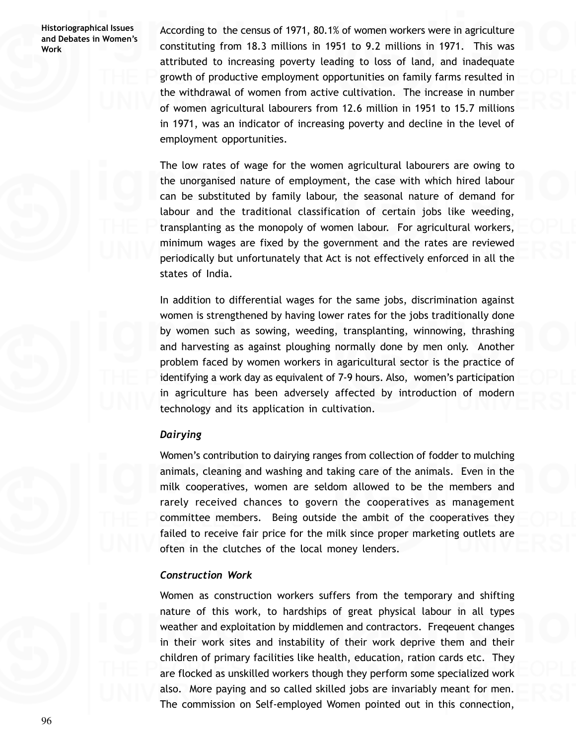According to the census of 1971, 80.1% of women workers were in agriculture constituting from 18.3 millions in 1951 to 9.2 millions in 1971. This was attributed to increasing poverty leading to loss of land, and inadequate growth of productive employment opportunities on family farms resulted in the withdrawal of women from active cultivation. The increase in number of women agricultural labourers from 12.6 million in 1951 to 15.7 millions in 1971, was an indicator of increasing poverty and decline in the level of employment opportunities.

The low rates of wage for the women agricultural labourers are owing to the unorganised nature of employment, the case with which hired labour can be substituted by family labour, the seasonal nature of demand for labour and the traditional classification of certain jobs like weeding, transplanting as the monopoly of women labour. For agricultural workers, minimum wages are fixed by the government and the rates are reviewed periodically but unfortunately that Act is not effectively enforced in all the states of India.

In addition to differential wages for the same jobs, discrimination against women is strengthened by having lower rates for the jobs traditionally done by women such as sowing, weeding, transplanting, winnowing, thrashing and harvesting as against ploughing normally done by men only. Another problem faced by women workers in agaricultural sector is the practice of identifying a work day as equivalent of 7-9 hours. Also, women's participation in agriculture has been adversely affected by introduction of modern technology and its application in cultivation.

### *Dairying*

Women's contribution to dairying ranges from collection of fodder to mulching animals, cleaning and washing and taking care of the animals. Even in the milk cooperatives, women are seldom allowed to be the members and rarely received chances to govern the cooperatives as management committee members. Being outside the ambit of the cooperatives they failed to receive fair price for the milk since proper marketing outlets are often in the clutches of the local money lenders.

### *Construction Work*

Women as construction workers suffers from the temporary and shifting nature of this work, to hardships of great physical labour in all types weather and exploitation by middlemen and contractors. Freqeuent changes in their work sites and instability of their work deprive them and their children of primary facilities like health, education, ration cards etc. They are flocked as unskilled workers though they perform some specialized work also. More paying and so called skilled jobs are invariably meant for men. The commission on Self-employed Women pointed out in this connection,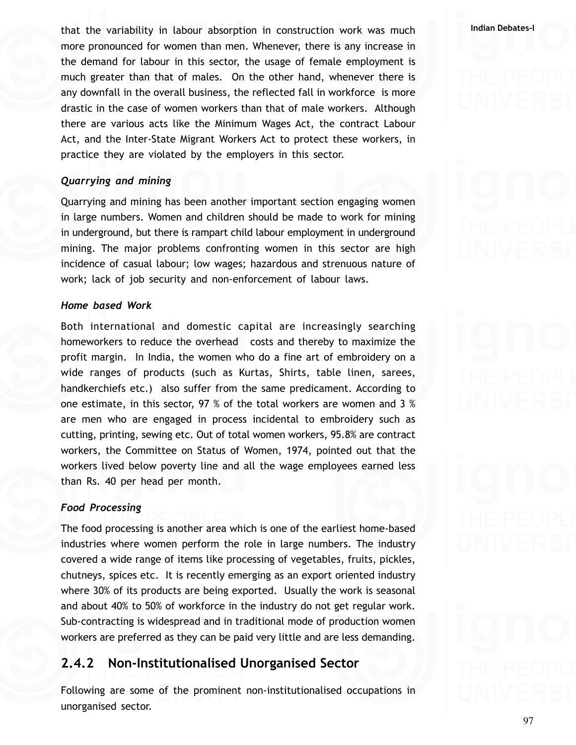**Indian Debates-I** that the variability in labour absorption in construction work was much more pronounced for women than men. Whenever, there is any increase in the demand for labour in this sector, the usage of female employment is much greater than that of males. On the other hand, whenever there is any downfall in the overall business, the reflected fall in workforce is more drastic in the case of women workers than that of male workers. Although there are various acts like the Minimum Wages Act, the contract Labour Act, and the Inter-State Migrant Workers Act to protect these workers, in practice they are violated by the employers in this sector.

### *Quarrying and mining*

Quarrying and mining has been another important section engaging women in large numbers. Women and children should be made to work for mining in underground, but there is rampart child labour employment in underground mining. The major problems confronting women in this sector are high incidence of casual labour; low wages; hazardous and strenuous nature of work; lack of job security and non-enforcement of labour laws.

### *Home based Work*

Both international and domestic capital are increasingly searching homeworkers to reduce the overhead costs and thereby to maximize the profit margin. In India, the women who do a fine art of embroidery on a wide ranges of products (such as Kurtas, Shirts, table linen, sarees, handkerchiefs etc.) also suffer from the same predicament. According to one estimate, in this sector, 97 % of the total workers are women and 3 % are men who are engaged in process incidental to embroidery such as cutting, printing, sewing etc. Out of total women workers, 95.8% are contract workers, the Committee on Status of Women, 1974, pointed out that the workers lived below poverty line and all the wage employees earned less than Rs. 40 per head per month.

### *Food Processing*

The food processing is another area which is one of the earliest home-based industries where women perform the role in large numbers. The industry covered a wide range of items like processing of vegetables, fruits, pickles, chutneys, spices etc. It is recently emerging as an export oriented industry where 30% of its products are being exported. Usually the work is seasonal and about 40% to 50% of workforce in the industry do not get regular work. Sub-contracting is widespread and in traditional mode of production women workers are preferred as they can be paid very little and are less demanding.

## **2.4.2 Non-Institutionalised Unorganised Sector**

Following are some of the prominent non-institutionalised occupations in unorganised sector.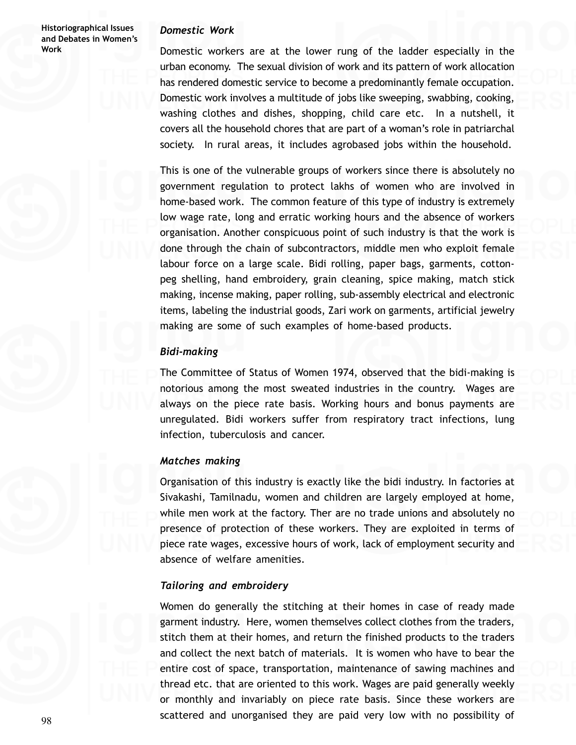### *Domestic Work*

Domestic workers are at the lower rung of the ladder especially in the urban economy. The sexual division of work and its pattern of work allocation has rendered domestic service to become a predominantly female occupation. Domestic work involves a multitude of jobs like sweeping, swabbing, cooking, washing clothes and dishes, shopping, child care etc. In a nutshell, it covers all the household chores that are part of a woman's role in patriarchal society. In rural areas, it includes agrobased jobs within the household.

This is one of the vulnerable groups of workers since there is absolutely no government regulation to protect lakhs of women who are involved in home-based work. The common feature of this type of industry is extremely low wage rate, long and erratic working hours and the absence of workers organisation. Another conspicuous point of such industry is that the work is done through the chain of subcontractors, middle men who exploit female labour force on a large scale. Bidi rolling, paper bags, garments, cottonpeg shelling, hand embroidery, grain cleaning, spice making, match stick making, incense making, paper rolling, sub-assembly electrical and electronic items, labeling the industrial goods, Zari work on garments, artificial jewelry making are some of such examples of home-based products.

### *Bidi-making*

The Committee of Status of Women 1974, observed that the bidi-making is notorious among the most sweated industries in the country. Wages are always on the piece rate basis. Working hours and bonus payments are unregulated. Bidi workers suffer from respiratory tract infections, lung infection, tuberculosis and cancer.

### *Matches making*

Organisation of this industry is exactly like the bidi industry. In factories at Sivakashi, Tamilnadu, women and children are largely employed at home, while men work at the factory. Ther are no trade unions and absolutely no presence of protection of these workers. They are exploited in terms of piece rate wages, excessive hours of work, lack of employment security and absence of welfare amenities.

### *Tailoring and embroidery*

Women do generally the stitching at their homes in case of ready made garment industry. Here, women themselves collect clothes from the traders, stitch them at their homes, and return the finished products to the traders and collect the next batch of materials. It is women who have to bear the entire cost of space, transportation, maintenance of sawing machines and thread etc. that are oriented to this work. Wages are paid generally weekly or monthly and invariably on piece rate basis. Since these workers are scattered and unorganised they are paid very low with no possibility of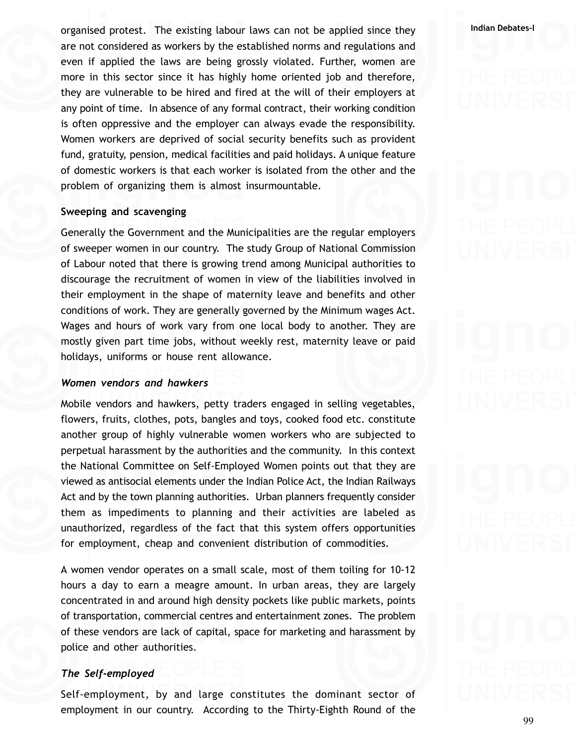**Indian Debates-I** organised protest. The existing labour laws can not be applied since they are not considered as workers by the established norms and regulations and even if applied the laws are being grossly violated. Further, women are more in this sector since it has highly home oriented job and therefore, they are vulnerable to be hired and fired at the will of their employers at any point of time. In absence of any formal contract, their working condition is often oppressive and the employer can always evade the responsibility. Women workers are deprived of social security benefits such as provident fund, gratuity, pension, medical facilities and paid holidays. A unique feature of domestic workers is that each worker is isolated from the other and the problem of organizing them is almost insurmountable.

### **Sweeping and scavenging**

Generally the Government and the Municipalities are the regular employers of sweeper women in our country. The study Group of National Commission of Labour noted that there is growing trend among Municipal authorities to discourage the recruitment of women in view of the liabilities involved in their employment in the shape of maternity leave and benefits and other conditions of work. They are generally governed by the Minimum wages Act. Wages and hours of work vary from one local body to another. They are mostly given part time jobs, without weekly rest, maternity leave or paid holidays, uniforms or house rent allowance.

### *Women vendors and hawkers*

Mobile vendors and hawkers, petty traders engaged in selling vegetables, flowers, fruits, clothes, pots, bangles and toys, cooked food etc. constitute another group of highly vulnerable women workers who are subjected to perpetual harassment by the authorities and the community. In this context the National Committee on Self-Employed Women points out that they are viewed as antisocial elements under the Indian Police Act, the Indian Railways Act and by the town planning authorities. Urban planners frequently consider them as impediments to planning and their activities are labeled as unauthorized, regardless of the fact that this system offers opportunities for employment, cheap and convenient distribution of commodities.

A women vendor operates on a small scale, most of them toiling for 10-12 hours a day to earn a meagre amount. In urban areas, they are largely concentrated in and around high density pockets like public markets, points of transportation, commercial centres and entertainment zones. The problem of these vendors are lack of capital, space for marketing and harassment by police and other authorities.

### *The Self-employed*

Self-employment, by and large constitutes the dominant sector of employment in our country. According to the Thirty-Eighth Round of the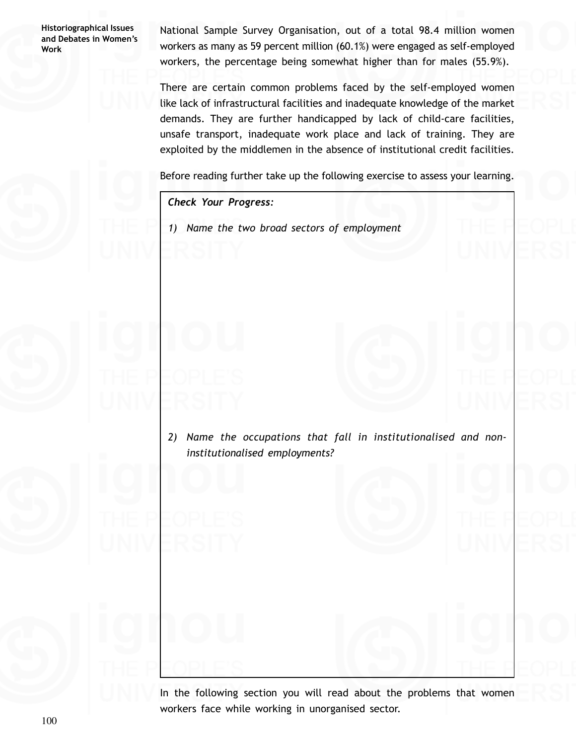National Sample Survey Organisation, out of a total 98.4 million women workers as many as 59 percent million (60.1%) were engaged as self-employed workers, the percentage being somewhat higher than for males (55.9%).

There are certain common problems faced by the self-employed women like lack of infrastructural facilities and inadequate knowledge of the market demands. They are further handicapped by lack of child-care facilities, unsafe transport, inadequate work place and lack of training. They are exploited by the middlemen in the absence of institutional credit facilities.

Before reading further take up the following exercise to assess your learning.

*Check Your Progress:*

*1) Name the two broad sectors of employment*

*2) Name the occupations that fall in institutionalised and noninstitutionalised employments?*

In the following section you will read about the problems that women workers face while working in unorganised sector.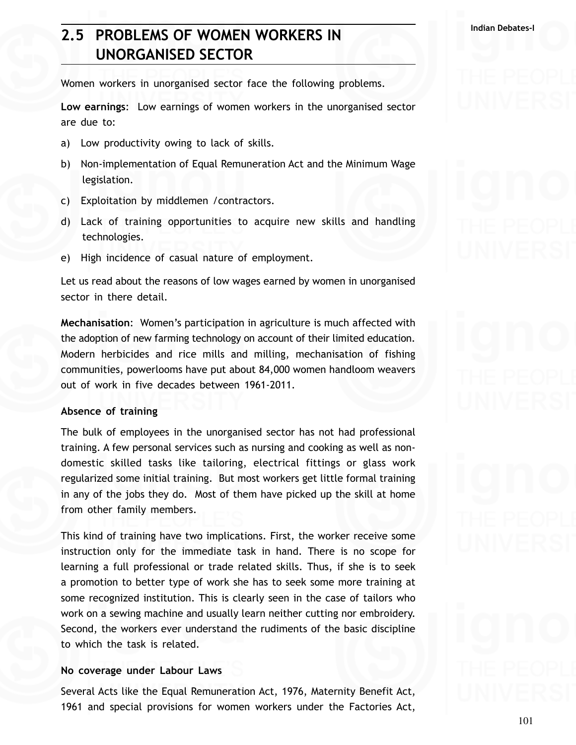# **Indian Debates-I 2.5 PROBLEMS OF WOMEN WORKERS IN UNORGANISED SECTOR**

Women workers in unorganised sector face the following problems.

**Low earnings**: Low earnings of women workers in the unorganised sector are due to:

- a) Low productivity owing to lack of skills.
- b) Non-implementation of Equal Remuneration Act and the Minimum Wage legislation.
- c) Exploitation by middlemen /contractors.
- d) Lack of training opportunities to acquire new skills and handling technologies.
- e) High incidence of casual nature of employment.

Let us read about the reasons of low wages earned by women in unorganised sector in there detail.

**Mechanisation**: Women's participation in agriculture is much affected with the adoption of new farming technology on account of their limited education. Modern herbicides and rice mills and milling, mechanisation of fishing communities, powerlooms have put about 84,000 women handloom weavers out of work in five decades between 1961-2011.

### **Absence of training**

The bulk of employees in the unorganised sector has not had professional training. A few personal services such as nursing and cooking as well as nondomestic skilled tasks like tailoring, electrical fittings or glass work regularized some initial training. But most workers get little formal training in any of the jobs they do. Most of them have picked up the skill at home from other family members.

This kind of training have two implications. First, the worker receive some instruction only for the immediate task in hand. There is no scope for learning a full professional or trade related skills. Thus, if she is to seek a promotion to better type of work she has to seek some more training at some recognized institution. This is clearly seen in the case of tailors who work on a sewing machine and usually learn neither cutting nor embroidery. Second, the workers ever understand the rudiments of the basic discipline to which the task is related.

### **No coverage under Labour Laws**

Several Acts like the Equal Remuneration Act, 1976, Maternity Benefit Act, 1961 and special provisions for women workers under the Factories Act,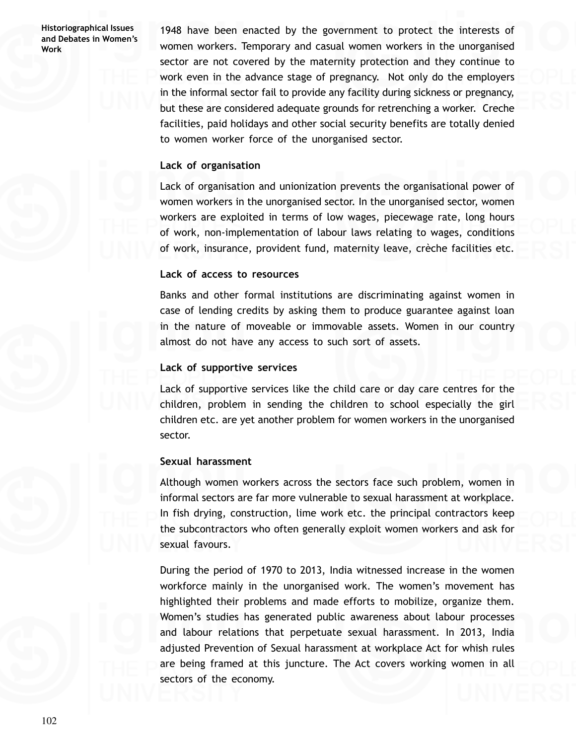1948 have been enacted by the government to protect the interests of women workers. Temporary and casual women workers in the unorganised sector are not covered by the maternity protection and they continue to work even in the advance stage of pregnancy. Not only do the employers in the informal sector fail to provide any facility during sickness or pregnancy, but these are considered adequate grounds for retrenching a worker. Creche facilities, paid holidays and other social security benefits are totally denied to women worker force of the unorganised sector.

### **Lack of organisation**

Lack of organisation and unionization prevents the organisational power of women workers in the unorganised sector. In the unorganised sector, women workers are exploited in terms of low wages, piecewage rate, long hours of work, non-implementation of labour laws relating to wages, conditions of work, insurance, provident fund, maternity leave, crèche facilities etc.

### **Lack of access to resources**

Banks and other formal institutions are discriminating against women in case of lending credits by asking them to produce guarantee against loan in the nature of moveable or immovable assets. Women in our country almost do not have any access to such sort of assets.

### **Lack of supportive services**

Lack of supportive services like the child care or day care centres for the children, problem in sending the children to school especially the girl children etc. are yet another problem for women workers in the unorganised sector.

### **Sexual harassment**

Although women workers across the sectors face such problem, women in informal sectors are far more vulnerable to sexual harassment at workplace. In fish drying, construction, lime work etc. the principal contractors keep the subcontractors who often generally exploit women workers and ask for sexual favours.

During the period of 1970 to 2013, India witnessed increase in the women workforce mainly in the unorganised work. The women's movement has highlighted their problems and made efforts to mobilize, organize them. Women's studies has generated public awareness about labour processes and labour relations that perpetuate sexual harassment. In 2013, India adjusted Prevention of Sexual harassment at workplace Act for whish rules are being framed at this juncture. The Act covers working women in all sectors of the economy.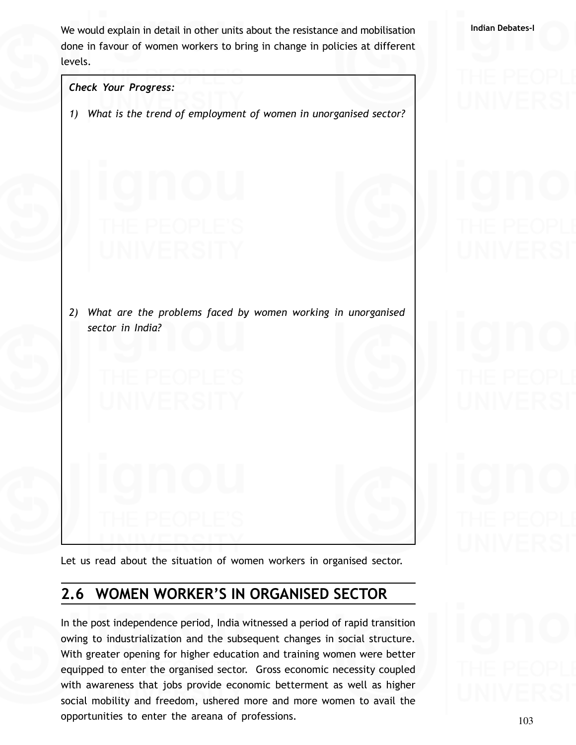We would explain in detail in other units about the resistance and mobilisation **Indian Debates-Indian** done in favour of women workers to bring in change in policies at different levels.

*Check Your Progress: 1) What is the trend of employment of women in unorganised sector? 2) What are the problems faced by women working in unorganised sector in India?*

Let us read about the situation of women workers in organised sector.

# **2.6 WOMEN WORKER'S IN ORGANISED SECTOR**

In the post independence period, India witnessed a period of rapid transition owing to industrialization and the subsequent changes in social structure. With greater opening for higher education and training women were better equipped to enter the organised sector. Gross economic necessity coupled with awareness that jobs provide economic betterment as well as higher social mobility and freedom, ushered more and more women to avail the opportunities to enter the areana of professions.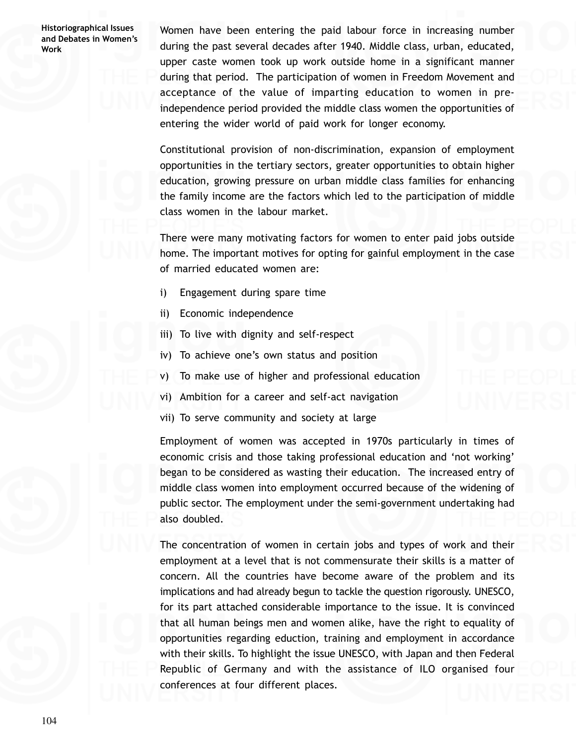Women have been entering the paid labour force in increasing number during the past several decades after 1940. Middle class, urban, educated, upper caste women took up work outside home in a significant manner during that period. The participation of women in Freedom Movement and acceptance of the value of imparting education to women in preindependence period provided the middle class women the opportunities of entering the wider world of paid work for longer economy.

Constitutional provision of non-discrimination, expansion of employment opportunities in the tertiary sectors, greater opportunities to obtain higher education, growing pressure on urban middle class families for enhancing the family income are the factors which led to the participation of middle class women in the labour market.

There were many motivating factors for women to enter paid jobs outside home. The important motives for opting for gainful employment in the case of married educated women are:

- i) Engagement during spare time
- ii) Economic independence
- iii) To live with dignity and self-respect
- iv) To achieve one's own status and position
- v) To make use of higher and professional education
- vi) Ambition for a career and self-act navigation
- vii) To serve community and society at large

Employment of women was accepted in 1970s particularly in times of economic crisis and those taking professional education and 'not working' began to be considered as wasting their education. The increased entry of middle class women into employment occurred because of the widening of public sector. The employment under the semi-government undertaking had also doubled.

The concentration of women in certain jobs and types of work and their employment at a level that is not commensurate their skills is a matter of concern. All the countries have become aware of the problem and its implications and had already begun to tackle the question rigorously. UNESCO, for its part attached considerable importance to the issue. It is convinced that all human beings men and women alike, have the right to equality of opportunities regarding eduction, training and employment in accordance with their skills. To highlight the issue UNESCO, with Japan and then Federal Republic of Germany and with the assistance of ILO organised four conferences at four different places.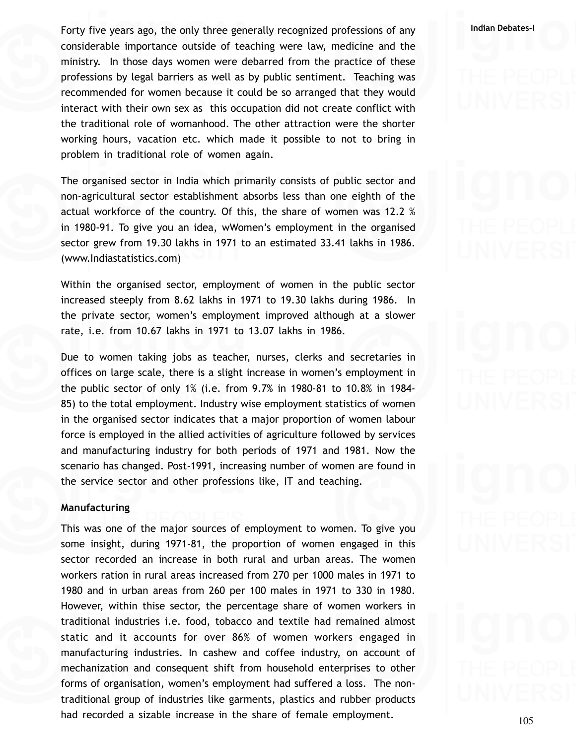**Indian Debates-I** Forty five years ago, the only three generally recognized professions of any considerable importance outside of teaching were law, medicine and the ministry. In those days women were debarred from the practice of these professions by legal barriers as well as by public sentiment. Teaching was recommended for women because it could be so arranged that they would interact with their own sex as this occupation did not create conflict with the traditional role of womanhood. The other attraction were the shorter working hours, vacation etc. which made it possible to not to bring in problem in traditional role of women again.

The organised sector in India which primarily consists of public sector and non-agricultural sector establishment absorbs less than one eighth of the actual workforce of the country. Of this, the share of women was 12.2 % in 1980-91. To give you an idea, wWomen's employment in the organised sector grew from 19.30 lakhs in 1971 to an estimated 33.41 lakhs in 1986. (www.Indiastatistics.com)

Within the organised sector, employment of women in the public sector increased steeply from 8.62 lakhs in 1971 to 19.30 lakhs during 1986. In the private sector, women's employment improved although at a slower rate, i.e. from 10.67 lakhs in 1971 to 13.07 lakhs in 1986.

Due to women taking jobs as teacher, nurses, clerks and secretaries in offices on large scale, there is a slight increase in women's employment in the public sector of only 1% (i.e. from 9.7% in 1980-81 to 10.8% in 1984- 85) to the total employment. Industry wise employment statistics of women in the organised sector indicates that a major proportion of women labour force is employed in the allied activities of agriculture followed by services and manufacturing industry for both periods of 1971 and 1981. Now the scenario has changed. Post-1991, increasing number of women are found in the service sector and other professions like, IT and teaching.

### **Manufacturing**

This was one of the major sources of employment to women. To give you some insight, during 1971-81, the proportion of women engaged in this sector recorded an increase in both rural and urban areas. The women workers ration in rural areas increased from 270 per 1000 males in 1971 to 1980 and in urban areas from 260 per 100 males in 1971 to 330 in 1980. However, within thise sector, the percentage share of women workers in traditional industries i.e. food, tobacco and textile had remained almost static and it accounts for over 86% of women workers engaged in manufacturing industries. In cashew and coffee industry, on account of mechanization and consequent shift from household enterprises to other forms of organisation, women's employment had suffered a loss. The nontraditional group of industries like garments, plastics and rubber products had recorded a sizable increase in the share of female employment.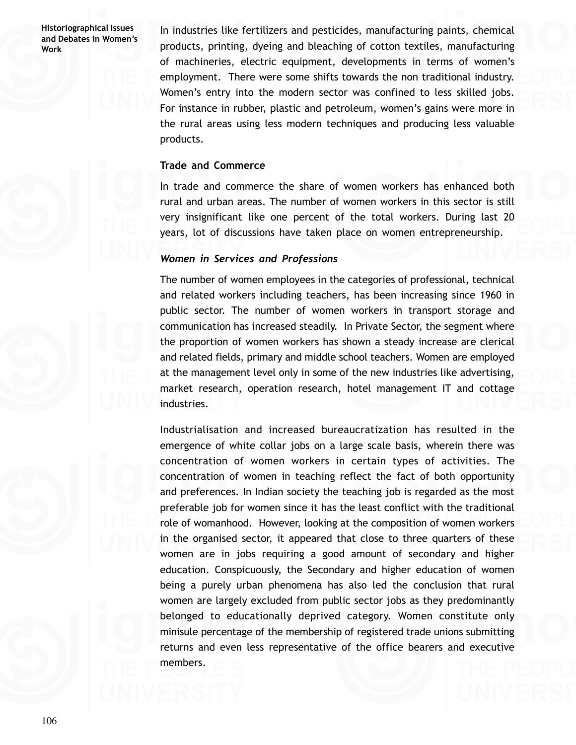In industries like fertilizers and pesticides, manufacturing paints, chemical products, printing, dyeing and bleaching of cotton textiles, manufacturing of machineries, electric equipment, developments in terms of women's employment. There were some shifts towards the non traditional industry. Women's entry into the modern sector was confined to less skilled jobs. For instance in rubber, plastic and petroleum, women's gains were more in the rural areas using less modern techniques and producing less valuable products.

### **Trade and Commerce**

In trade and commerce the share of women workers has enhanced both rural and urban areas. The number of women workers in this sector is still very insignificant like one percent of the total workers. During last 20 years, lot of discussions have taken place on women entrepreneurship.

### *Women in Services and Professions*

The number of women employees in the categories of professional, technical and related workers including teachers, has been increasing since 1960 in public sector. The number of women workers in transport storage and communication has increased steadily. In Private Sector, the segment where the proportion of women workers has shown a steady increase are clerical and related fields, primary and middle school teachers. Women are employed at the management level only in some of the new industries like advertising, market research, operation research, hotel management IT and cottage industries.

Industrialisation and increased bureaucratization has resulted in the emergence of white collar jobs on a large scale basis, wherein there was concentration of women workers in certain types of activities. The concentration of women in teaching reflect the fact of both opportunity and preferences. In Indian society the teaching job is regarded as the most preferable job for women since it has the least conflict with the traditional role of womanhood. However, looking at the composition of women workers in the organised sector, it appeared that close to three quarters of these women are in jobs requiring a good amount of secondary and higher education. Conspicuously, the Secondary and higher education of women being a purely urban phenomena has also led the conclusion that rural women are largely excluded from public sector jobs as they predominantly belonged to educationally deprived category. Women constitute only minisule percentage of the membership of registered trade unions submitting returns and even less representative of the office bearers and executive members.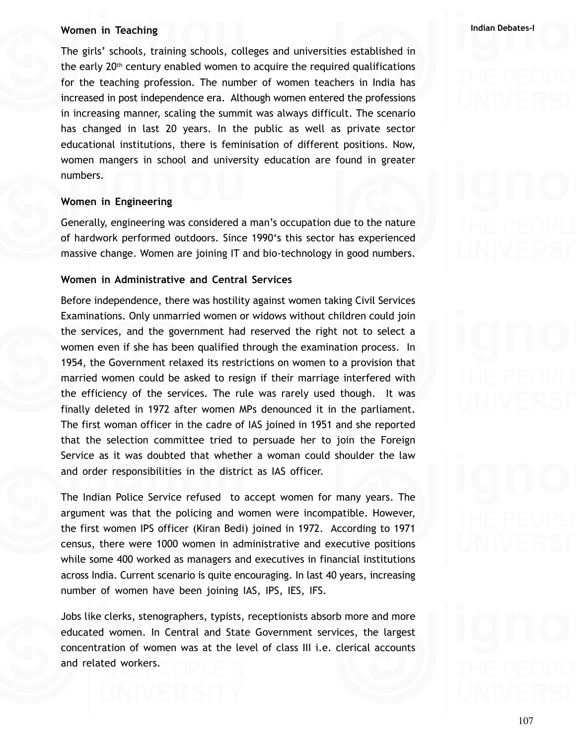### **W Indian Debates-I omen in Teaching**

The girls' schools, training schools, colleges and universities established in the early  $20<sup>th</sup>$  century enabled women to acquire the required qualifications for the teaching profession. The number of women teachers in India has increased in post independence era. Although women entered the professions in increasing manner, scaling the summit was always difficult. The scenario has changed in last 20 years. In the public as well as private sector educational institutions, there is feminisation of different positions. Now, women mangers in school and university education are found in greater numbers.

### **Women in Engineering**

Generally, engineering was considered a man's occupation due to the nature of hardwork performed outdoors. Since 1990's this sector has experienced massive change. Women are joining IT and bio-technology in good numbers.

### **Women in Administrative and Central Services**

Before independence, there was hostility against women taking Civil Services Examinations. Only unmarried women or widows without children could join the services, and the government had reserved the right not to select a women even if she has been qualified through the examination process. In 1954, the Government relaxed its restrictions on women to a provision that married women could be asked to resign if their marriage interfered with the efficiency of the services. The rule was rarely used though. It was finally deleted in 1972 after women MPs denounced it in the parliament. The first woman officer in the cadre of IAS joined in 1951 and she reported that the selection committee tried to persuade her to join the Foreign Service as it was doubted that whether a woman could shoulder the law and order responsibilities in the district as IAS officer.

The Indian Police Service refused to accept women for many years. The argument was that the policing and women were incompatible. However, the first women IPS officer (Kiran Bedi) joined in 1972. According to 1971 census, there were 1000 women in administrative and executive positions while some 400 worked as managers and executives in financial institutions across India. Current scenario is quite encouraging. In last 40 years, increasing number of women have been joining IAS, IPS, IES, IFS.

Jobs like clerks, stenographers, typists, receptionists absorb more and more educated women. In Central and State Government services, the largest concentration of women was at the level of class III i.e. clerical accounts and related workers.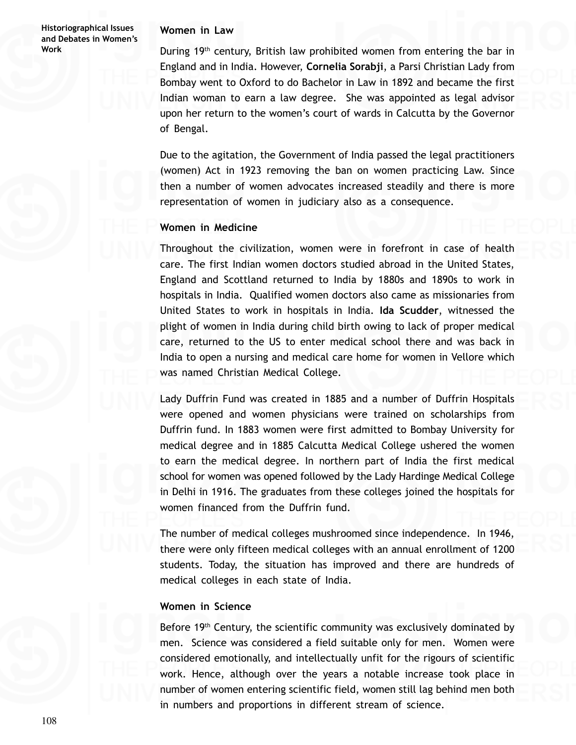### **Women in Law**

During 19<sup>th</sup> century, British law prohibited women from entering the bar in England and in India. However, **Cornelia Sorabji**, a Parsi Christian Lady from Bombay went to Oxford to do Bachelor in Law in 1892 and became the first Indian woman to earn a law degree. She was appointed as legal advisor upon her return to the women's court of wards in Calcutta by the Governor of Bengal.

Due to the agitation, the Government of India passed the legal practitioners (women) Act in 1923 removing the ban on women practicing Law. Since then a number of women advocates increased steadily and there is more representation of women in judiciary also as a consequence.

### **Women in Medicine**

Throughout the civilization, women were in forefront in case of health care. The first Indian women doctors studied abroad in the United States, England and Scottland returned to India by 1880s and 1890s to work in hospitals in India. Qualified women doctors also came as missionaries from United States to work in hospitals in India. **Ida Scudder**, witnessed the plight of women in India during child birth owing to lack of proper medical care, returned to the US to enter medical school there and was back in India to open a nursing and medical care home for women in Vellore which was named Christian Medical College.

Lady Duffrin Fund was created in 1885 and a number of Duffrin Hospitals were opened and women physicians were trained on scholarships from Duffrin fund. In 1883 women were first admitted to Bombay University for medical degree and in 1885 Calcutta Medical College ushered the women to earn the medical degree. In northern part of India the first medical school for women was opened followed by the Lady Hardinge Medical College in Delhi in 1916. The graduates from these colleges joined the hospitals for women financed from the Duffrin fund.

The number of medical colleges mushroomed since independence. In 1946, there were only fifteen medical colleges with an annual enrollment of 1200 students. Today, the situation has improved and there are hundreds of medical colleges in each state of India.

### **Women in Science**

Before 19<sup>th</sup> Century, the scientific community was exclusively dominated by men. Science was considered a field suitable only for men. Women were considered emotionally, and intellectually unfit for the rigours of scientific work. Hence, although over the years a notable increase took place in number of women entering scientific field, women still lag behind men both in numbers and proportions in different stream of science.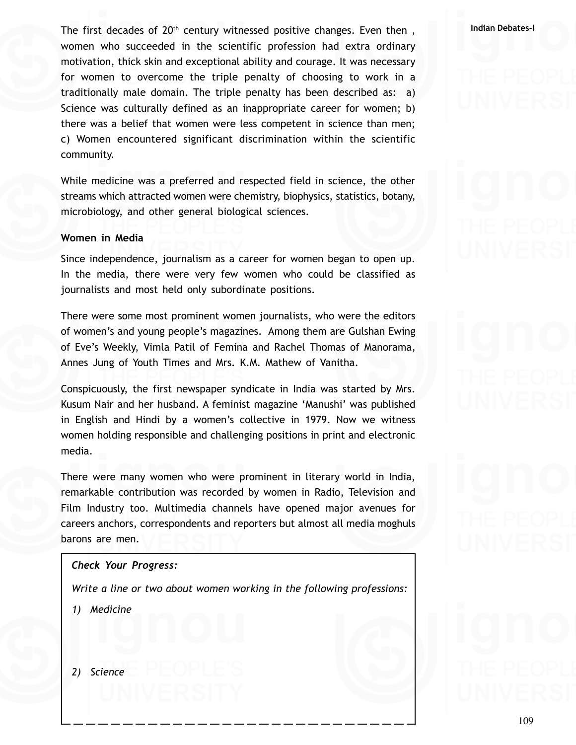The first decades of 20<sup>th</sup> century witnessed positive changes. Even then , and all lindian Debates-I women who succeeded in the scientific profession had extra ordinary motivation, thick skin and exceptional ability and courage. It was necessary for women to overcome the triple penalty of choosing to work in a traditionally male domain. The triple penalty has been described as: a) Science was culturally defined as an inappropriate career for women; b) there was a belief that women were less competent in science than men; c) Women encountered significant discrimination within the scientific community.

While medicine was a preferred and respected field in science, the other streams which attracted women were chemistry, biophysics, statistics, botany, microbiology, and other general biological sciences.

### **Women in Media**

Since independence, journalism as a career for women began to open up. In the media, there were very few women who could be classified as journalists and most held only subordinate positions.

There were some most prominent women journalists, who were the editors of women's and young people's magazines. Among them are Gulshan Ewing of Eve's Weekly, Vimla Patil of Femina and Rachel Thomas of Manorama, Annes Jung of Youth Times and Mrs. K.M. Mathew of Vanitha.

Conspicuously, the first newspaper syndicate in India was started by Mrs. Kusum Nair and her husband. A feminist magazine 'Manushi' was published in English and Hindi by a women's collective in 1979. Now we witness women holding responsible and challenging positions in print and electronic media.

There were many women who were prominent in literary world in India, remarkable contribution was recorded by women in Radio, Television and Film Industry too. Multimedia channels have opened major avenues for careers anchors, correspondents and reporters but almost all media moghuls barons are men.

### *Check Your Progress:*

*Write a line or two about women working in the following professions:*

*1) Medicine*

*2) Science*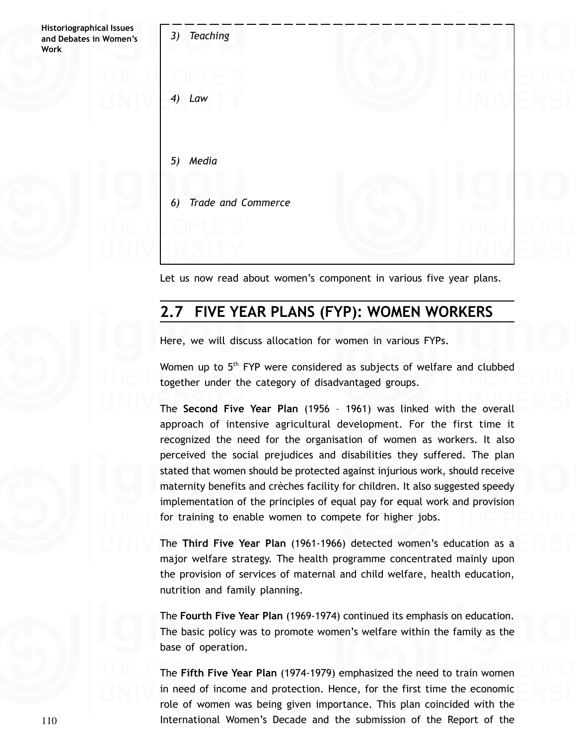

Let us now read about women's component in various five year plans.

# **2.7 FIVE YEAR PLANS (FYP): WOMEN WORKERS**

Here, we will discuss allocation for women in various FYPs.

Women up to 5<sup>th</sup> FYP were considered as subjects of welfare and clubbed together under the category of disadvantaged groups.

The **Second Five Year Plan** (1956 – 1961) was linked with the overall approach of intensive agricultural development. For the first time it recognized the need for the organisation of women as workers. It also perceived the social prejudices and disabilities they suffered. The plan stated that women should be protected against injurious work, should receive maternity benefits and crèches facility for children. It also suggested speedy implementation of the principles of equal pay for equal work and provision for training to enable women to compete for higher jobs.

The **Third Five Year Plan** (1961-1966) detected women's education as a major welfare strategy. The health programme concentrated mainly upon the provision of services of maternal and child welfare, health education, nutrition and family planning.

The **Fourth Five Year Plan** (1969-1974) continued its emphasis on education. The basic policy was to promote women's welfare within the family as the base of operation.

The **Fifth Five Year Plan** (1974-1979) emphasized the need to train women in need of income and protection. Hence, for the first time the economic role of women was being given importance. This plan coincided with the International Women's Decade and the submission of the Report of the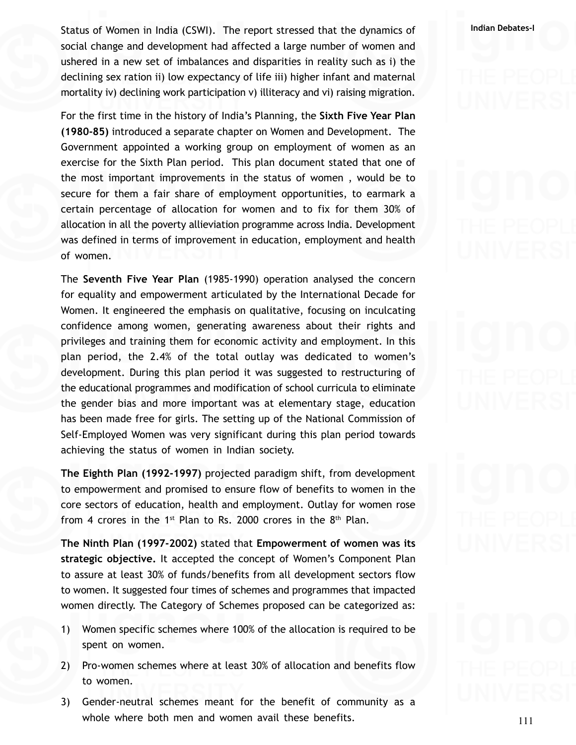**Indian Debates-I** Status of Women in India (CSWI). The report stressed that the dynamics of social change and development had affected a large number of women and ushered in a new set of imbalances and disparities in reality such as i) the declining sex ration ii) low expectancy of life iii) higher infant and maternal mortality iv) declining work participation v) illiteracy and vi) raising migration.

For the first time in the history of India's Planning, the **Sixth Five Year Plan (1980-85)** introduced a separate chapter on Women and Development. The Government appointed a working group on employment of women as an exercise for the Sixth Plan period. This plan document stated that one of the most important improvements in the status of women , would be to secure for them a fair share of employment opportunities, to earmark a certain percentage of allocation for women and to fix for them 30% of allocation in all the poverty allieviation programme across India. Development was defined in terms of improvement in education, employment and health of women.

The **Seventh Five Year Plan** (1985-1990) operation analysed the concern for equality and empowerment articulated by the International Decade for Women. It engineered the emphasis on qualitative, focusing on inculcating confidence among women, generating awareness about their rights and privileges and training them for economic activity and employment. In this plan period, the 2.4% of the total outlay was dedicated to women's development. During this plan period it was suggested to restructuring of the educational programmes and modification of school curricula to eliminate the gender bias and more important was at elementary stage, education has been made free for girls. The setting up of the National Commission of Self-Employed Women was very significant during this plan period towards achieving the status of women in Indian society.

**The Eighth Plan (1992-1997)** projected paradigm shift, from development to empowerment and promised to ensure flow of benefits to women in the core sectors of education, health and employment. Outlay for women rose from 4 crores in the 1<sup>st</sup> Plan to Rs. 2000 crores in the  $8<sup>th</sup>$  Plan.

**The Ninth Plan (1997-2002)** stated that **Empowerment of women was its strategic objective.** It accepted the concept of Women's Component Plan to assure at least 30% of funds/benefits from all development sectors flow to women. It suggested four times of schemes and programmes that impacted women directly. The Category of Schemes proposed can be categorized as:

- 1) Women specific schemes where 100% of the allocation is required to be spent on women.
- 2) Pro-women schemes where at least 30% of allocation and benefits flow to women.
- 3) Gender-neutral schemes meant for the benefit of community as a whole where both men and women avail these benefits.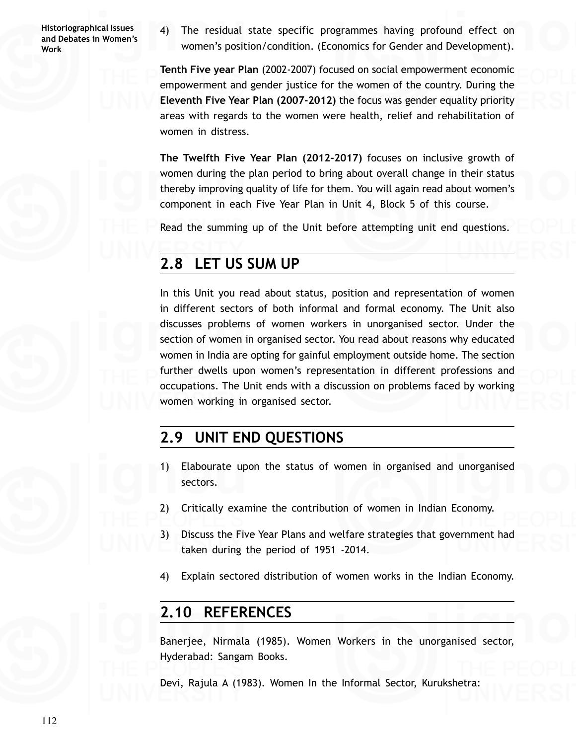4) The residual state specific programmes having profound effect on women's position/condition. (Economics for Gender and Development).

**Tenth Five year Plan** (2002-2007) focused on social empowerment economic empowerment and gender justice for the women of the country. During the **Eleventh Five Year Plan (2007-2012)** the focus was gender equality priority areas with regards to the women were health, relief and rehabilitation of women in distress.

**The Twelfth Five Year Plan (2012-2017)** focuses on inclusive growth of women during the plan period to bring about overall change in their status thereby improving quality of life for them. You will again read about women's component in each Five Year Plan in Unit 4, Block 5 of this course.

Read the summing up of the Unit before attempting unit end questions.

# **2.8 LET US SUM UP**

In this Unit you read about status, position and representation of women in different sectors of both informal and formal economy. The Unit also discusses problems of women workers in unorganised sector. Under the section of women in organised sector. You read about reasons why educated women in India are opting for gainful employment outside home. The section further dwells upon women's representation in different professions and occupations. The Unit ends with a discussion on problems faced by working women working in organised sector.

# **2.9 UNIT END QUESTIONS**

- 1) Elabourate upon the status of women in organised and unorganised sectors.
- 2) Critically examine the contribution of women in Indian Economy.
- 3) Discuss the Five Year Plans and welfare strategies that government had taken during the period of 1951 -2014.
- 4) Explain sectored distribution of women works in the Indian Economy.

# **2.10 REFERENCES**

Banerjee, Nirmala (1985). Women Workers in the unorganised sector, Hyderabad: Sangam Books.

Devi, Rajula A (1983). Women In the Informal Sector, Kurukshetra: